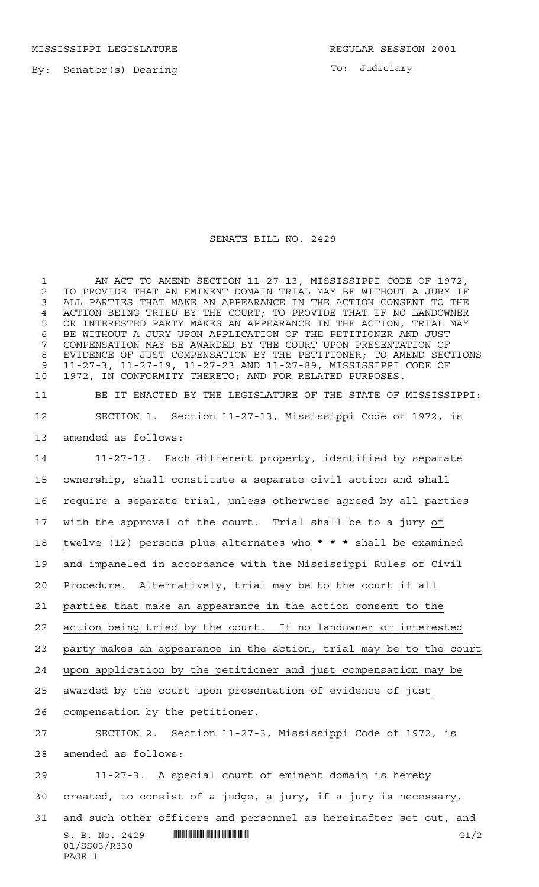MISSISSIPPI LEGISLATURE **REGULAR SESSION 2001** 

By: Senator(s) Dearing

PAGE 1

To: Judiciary

## SENATE BILL NO. 2429

 AN ACT TO AMEND SECTION 11-27-13, MISSISSIPPI CODE OF 1972, 2 TO PROVIDE THAT AN EMINENT DOMAIN TRIAL MAY BE WITHOUT A JURY IF<br>3 ALL PARTIES THAT MAKE AN APPEARANCE IN THE ACTION CONSENT TO THE ALL PARTIES THAT MAKE AN APPEARANCE IN THE ACTION CONSENT TO THE ACTION BEING TRIED BY THE COURT; TO PROVIDE THAT IF NO LANDOWNER OR INTERESTED PARTY MAKES AN APPEARANCE IN THE ACTION, TRIAL MAY BE WITHOUT A JURY UPON APPLICATION OF THE PETITIONER AND JUST COMPENSATION MAY BE AWARDED BY THE COURT UPON PRESENTATION OF EVIDENCE OF JUST COMPENSATION BY THE PETITIONER; TO AMEND SECTIONS 11-27-3, 11-27-19, 11-27-23 AND 11-27-89, MISSISSIPPI CODE OF 1972, IN CONFORMITY THERETO; AND FOR RELATED PURPOSES.

 BE IT ENACTED BY THE LEGISLATURE OF THE STATE OF MISSISSIPPI: SECTION 1. Section 11-27-13, Mississippi Code of 1972, is amended as follows:

S. B. No. 2429 \*SS03/R330\* G1/2 01/SS03/R330 11-27-13. Each different property, identified by separate ownership, shall constitute a separate civil action and shall require a separate trial, unless otherwise agreed by all parties with the approval of the court. Trial shall be to a jury of twelve (12) persons plus alternates who **\*\*\*** shall be examined and impaneled in accordance with the Mississippi Rules of Civil Procedure. Alternatively, trial may be to the court if all parties that make an appearance in the action consent to the action being tried by the court. If no landowner or interested party makes an appearance in the action, trial may be to the court upon application by the petitioner and just compensation may be awarded by the court upon presentation of evidence of just compensation by the petitioner. SECTION 2. Section 11-27-3, Mississippi Code of 1972, is amended as follows: 11-27-3. A special court of eminent domain is hereby 30 created, to consist of a judge,  $\underline{a}$  jury, if a jury is necessary, and such other officers and personnel as hereinafter set out, and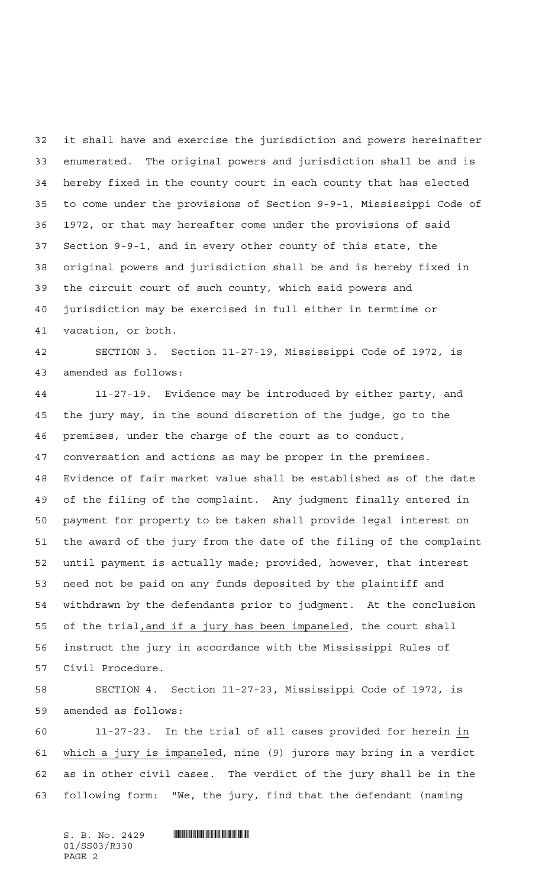it shall have and exercise the jurisdiction and powers hereinafter enumerated. The original powers and jurisdiction shall be and is hereby fixed in the county court in each county that has elected to come under the provisions of Section 9-9-1, Mississippi Code of 1972, or that may hereafter come under the provisions of said Section 9-9-1, and in every other county of this state, the original powers and jurisdiction shall be and is hereby fixed in the circuit court of such county, which said powers and jurisdiction may be exercised in full either in termtime or vacation, or both.

 SECTION 3. Section 11-27-19, Mississippi Code of 1972, is amended as follows:

 11-27-19. Evidence may be introduced by either party, and the jury may, in the sound discretion of the judge, go to the premises, under the charge of the court as to conduct, conversation and actions as may be proper in the premises. Evidence of fair market value shall be established as of the date of the filing of the complaint. Any judgment finally entered in payment for property to be taken shall provide legal interest on the award of the jury from the date of the filing of the complaint until payment is actually made; provided, however, that interest need not be paid on any funds deposited by the plaintiff and withdrawn by the defendants prior to judgment. At the conclusion of the trial,and if a jury has been impaneled, the court shall instruct the jury in accordance with the Mississippi Rules of Civil Procedure.

 SECTION 4. Section 11-27-23, Mississippi Code of 1972, is amended as follows:

 11-27-23. In the trial of all cases provided for herein in which a jury is impaneled, nine (9) jurors may bring in a verdict as in other civil cases. The verdict of the jury shall be in the following form: "We, the jury, find that the defendant (naming

 $S. B. No. 2429$  . So  $S. 2429$ 01/SS03/R330 PAGE 2